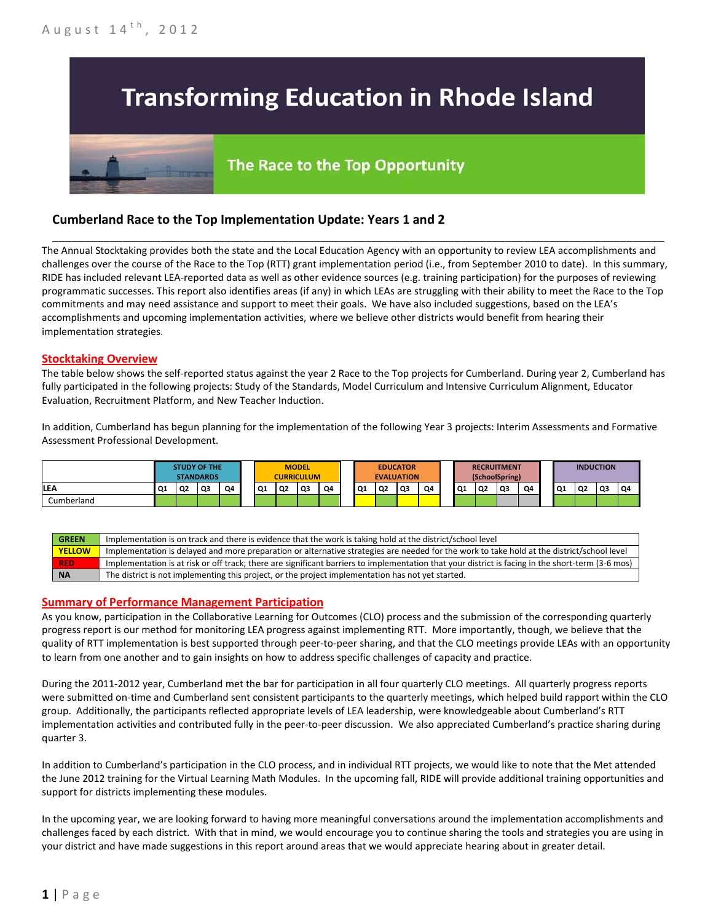## **Transforming Education in Rhode Island**

# The Race to the Top Opportunity

### **Cumberland Race to the Top Implementation Update: Years 1 and 2**

The Annual Stocktaking provides both the state and the Local Education Agency with an opportunity to review LEA accomplishments and challenges over the course of the Race to the Top (RTT) grant implementation period (i.e., from September 2010 to date). In this summary, RIDE has included relevant LEA-reported data as well as other evidence sources (e.g. training participation) for the purposes of reviewing programmatic successes. This report also identifies areas (if any) in which LEAs are struggling with their ability to meet the Race to the Top commitments and may need assistance and support to meet their goals. We have also included suggestions, based on the LEA's accomplishments and upcoming implementation activities, where we believe other districts would benefit from hearing their implementation strategies.

\_\_\_\_\_\_\_\_\_\_\_\_\_\_\_\_\_\_\_\_\_\_\_\_\_\_\_\_\_\_\_\_\_\_\_\_\_\_\_\_\_\_\_\_\_\_\_\_\_\_\_\_\_\_\_\_\_\_\_\_\_\_\_\_\_\_\_\_\_\_\_\_\_\_\_\_\_\_\_\_\_\_\_\_\_\_\_\_\_\_\_\_\_\_\_\_

#### **Stocktaking Overview**

The table below shows the self-reported status against the year 2 Race to the Top projects for Cumberland. During year 2, Cumberland has fully participated in the following projects: Study of the Standards, Model Curriculum and Intensive Curriculum Alignment, Educator Evaluation, Recruitment Platform, and New Teacher Induction.

In addition, Cumberland has begun planning for the implementation of the following Year 3 projects: Interim Assessments and Formative Assessment Professional Development.

|            | <b>STUDY OF THE</b><br><b>STANDARDS</b> |                |    |    | <b>CURRICULUM</b> | <b>MODEL</b>   |      |    |           | <b>EDUCATOR</b><br><b>EVALUATION</b> |    |    |    | <b>RECRUITMENT</b><br>(SchoolSpring) |      |    |    | <b>INDUCTION</b> |    |    |
|------------|-----------------------------------------|----------------|----|----|-------------------|----------------|------|----|-----------|--------------------------------------|----|----|----|--------------------------------------|------|----|----|------------------|----|----|
| LE٨        | Q1                                      | Q <sub>2</sub> | Q3 | Q4 | Q1                | Q <sub>2</sub> | l Q3 | Q4 | <b>Q1</b> | Q2                                   | Q3 | Q4 | Q1 | <b>Q2</b>                            | l Q3 | Q4 | Q1 | Q2               | Q3 | Q4 |
| Cumberland |                                         |                |    |    |                   |                |      |    |           |                                      |    |    |    |                                      |      |    |    |                  |    |    |

| <b>GREEN</b>  | Implementation is on track and there is evidence that the work is taking hold at the district/school level                                        |
|---------------|---------------------------------------------------------------------------------------------------------------------------------------------------|
| <b>YELLOW</b> | Implementation is delayed and more preparation or alternative strategies are needed for the work to take hold at the district/school level        |
| <b>RED</b>    | Implementation is at risk or off track; there are significant barriers to implementation that your district is facing in the short-term (3-6 mos) |
| <b>NA</b>     | The district is not implementing this project, or the project implementation has not yet started.                                                 |

#### **Summary of Performance Management Participation**

As you know, participation in the Collaborative Learning for Outcomes (CLO) process and the submission of the corresponding quarterly progress report is our method for monitoring LEA progress against implementing RTT. More importantly, though, we believe that the quality of RTT implementation is best supported through peer-to-peer sharing, and that the CLO meetings provide LEAs with an opportunity to learn from one another and to gain insights on how to address specific challenges of capacity and practice.

During the 2011-2012 year, Cumberland met the bar for participation in all four quarterly CLO meetings. All quarterly progress reports were submitted on-time and Cumberland sent consistent participants to the quarterly meetings, which helped build rapport within the CLO group. Additionally, the participants reflected appropriate levels of LEA leadership, were knowledgeable about Cumberland's RTT implementation activities and contributed fully in the peer-to-peer discussion. We also appreciated Cumberland's practice sharing during quarter 3.

In addition to Cumberland's participation in the CLO process, and in individual RTT projects, we would like to note that the Met attended the June 2012 training for the Virtual Learning Math Modules. In the upcoming fall, RIDE will provide additional training opportunities and support for districts implementing these modules.

In the upcoming year, we are looking forward to having more meaningful conversations around the implementation accomplishments and challenges faced by each district. With that in mind, we would encourage you to continue sharing the tools and strategies you are using in your district and have made suggestions in this report around areas that we would appreciate hearing about in greater detail.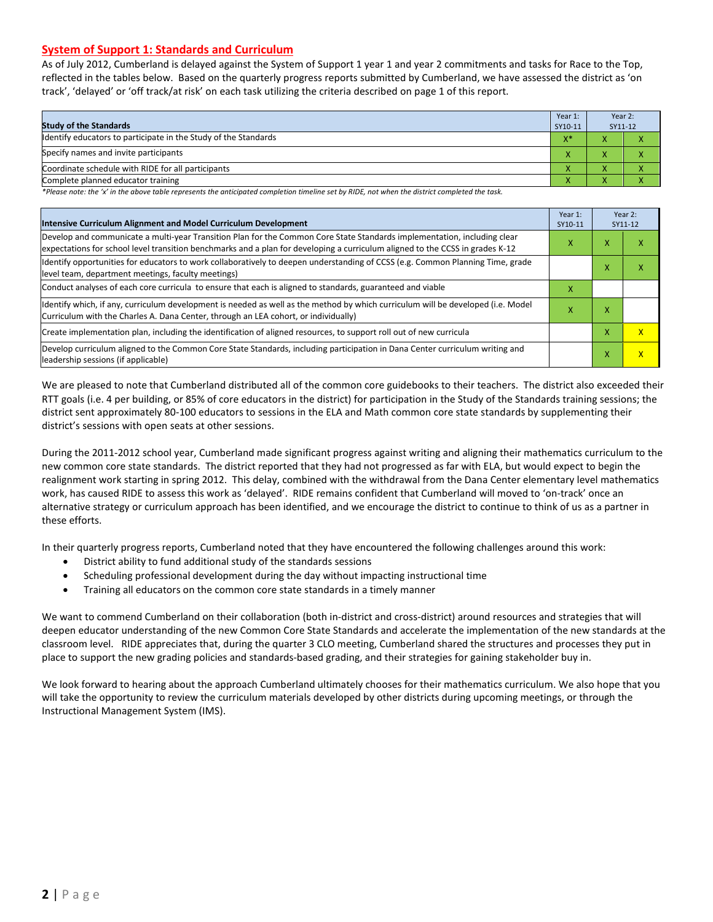#### **System of Support 1: Standards and Curriculum**

As of July 2012, Cumberland is delayed against the System of Support 1 year 1 and year 2 commitments and tasks for Race to the Top, reflected in the tables below. Based on the quarterly progress reports submitted by Cumberland, we have assessed the district as 'on track', 'delayed' or 'off track/at risk' on each task utilizing the criteria described on page 1 of this report.

| <b>Study of the Standards</b>                                   | Year 1:<br>SY10-11 | Year 2:<br>SY11-12 |  |
|-----------------------------------------------------------------|--------------------|--------------------|--|
| Identify educators to participate in the Study of the Standards | $X^*$              |                    |  |
| Specify names and invite participants                           |                    |                    |  |
| Coordinate schedule with RIDE for all participants              | ∧                  |                    |  |
| Complete planned educator training                              | $\mathbf{\Lambda}$ |                    |  |

*\*Please note: the 'x' in the above table represents the anticipated completion timeline set by RIDE, not when the district completed the task.*

| Intensive Curriculum Alignment and Model Curriculum Development                                                                                                                                                                                           | Year 1:<br>SY10-11 |   | Year 2:<br>SY11-12      |
|-----------------------------------------------------------------------------------------------------------------------------------------------------------------------------------------------------------------------------------------------------------|--------------------|---|-------------------------|
| Develop and communicate a multi-year Transition Plan for the Common Core State Standards implementation, including clear<br>expectations for school level transition benchmarks and a plan for developing a curriculum aligned to the CCSS in grades K-12 | x                  | x | ⋏                       |
| Identify opportunities for educators to work collaboratively to deepen understanding of CCSS (e.g. Common Planning Time, grade<br>level team, department meetings, faculty meetings)                                                                      |                    | x | л                       |
| Conduct analyses of each core curricula to ensure that each is aligned to standards, guaranteed and viable                                                                                                                                                | x                  |   |                         |
| ldentify which, if any, curriculum development is needed as well as the method by which curriculum will be developed (i.e. Model<br>Curriculum with the Charles A. Dana Center, through an LEA cohort, or individually)                                   | х                  | x |                         |
| Create implementation plan, including the identification of aligned resources, to support roll out of new curricula                                                                                                                                       |                    | X | $\overline{\mathsf{x}}$ |
| Develop curriculum aligned to the Common Core State Standards, including participation in Dana Center curriculum writing and<br>leadership sessions (if applicable)                                                                                       |                    | x | X                       |

We are pleased to note that Cumberland distributed all of the common core guidebooks to their teachers. The district also exceeded their RTT goals (i.e. 4 per building, or 85% of core educators in the district) for participation in the Study of the Standards training sessions; the district sent approximately 80-100 educators to sessions in the ELA and Math common core state standards by supplementing their district's sessions with open seats at other sessions.

During the 2011-2012 school year, Cumberland made significant progress against writing and aligning their mathematics curriculum to the new common core state standards. The district reported that they had not progressed as far with ELA, but would expect to begin the realignment work starting in spring 2012. This delay, combined with the withdrawal from the Dana Center elementary level mathematics work, has caused RIDE to assess this work as 'delayed'. RIDE remains confident that Cumberland will moved to 'on-track' once an alternative strategy or curriculum approach has been identified, and we encourage the district to continue to think of us as a partner in these efforts.

In their quarterly progress reports, Cumberland noted that they have encountered the following challenges around this work:

- District ability to fund additional study of the standards sessions
- Scheduling professional development during the day without impacting instructional time
- Training all educators on the common core state standards in a timely manner

We want to commend Cumberland on their collaboration (both in-district and cross-district) around resources and strategies that will deepen educator understanding of the new Common Core State Standards and accelerate the implementation of the new standards at the classroom level. RIDE appreciates that, during the quarter 3 CLO meeting, Cumberland shared the structures and processes they put in place to support the new grading policies and standards-based grading, and their strategies for gaining stakeholder buy in.

We look forward to hearing about the approach Cumberland ultimately chooses for their mathematics curriculum. We also hope that you will take the opportunity to review the curriculum materials developed by other districts during upcoming meetings, or through the Instructional Management System (IMS).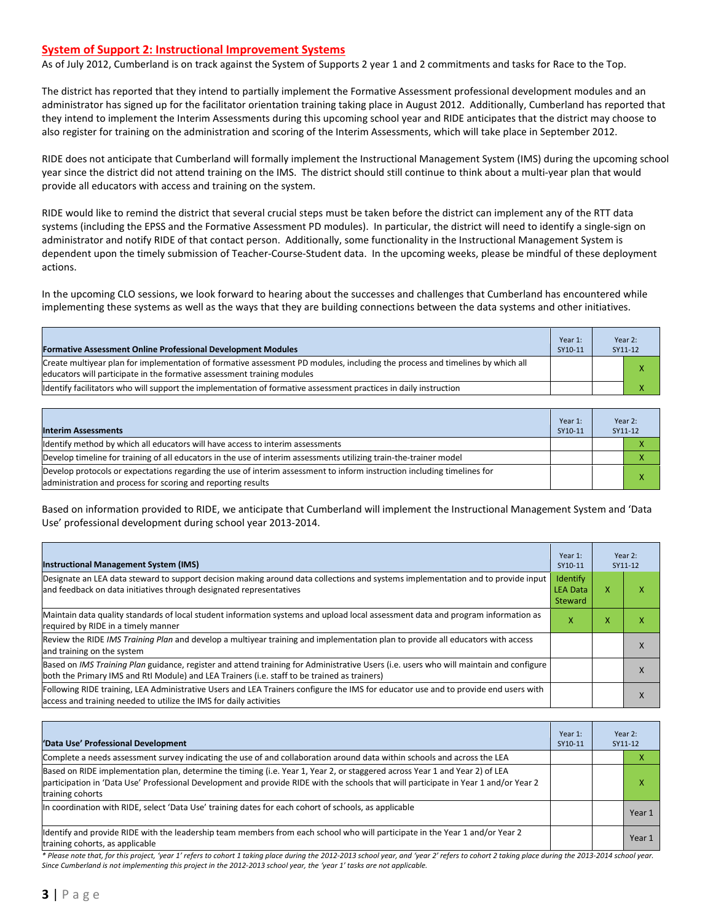#### **System of Support 2: Instructional Improvement Systems**

As of July 2012, Cumberland is on track against the System of Supports 2 year 1 and 2 commitments and tasks for Race to the Top.

The district has reported that they intend to partially implement the Formative Assessment professional development modules and an administrator has signed up for the facilitator orientation training taking place in August 2012. Additionally, Cumberland has reported that they intend to implement the Interim Assessments during this upcoming school year and RIDE anticipates that the district may choose to also register for training on the administration and scoring of the Interim Assessments, which will take place in September 2012.

RIDE does not anticipate that Cumberland will formally implement the Instructional Management System (IMS) during the upcoming school year since the district did not attend training on the IMS. The district should still continue to think about a multi-year plan that would provide all educators with access and training on the system.

RIDE would like to remind the district that several crucial steps must be taken before the district can implement any of the RTT data systems (including the EPSS and the Formative Assessment PD modules). In particular, the district will need to identify a single-sign on administrator and notify RIDE of that contact person. Additionally, some functionality in the Instructional Management System is dependent upon the timely submission of Teacher-Course-Student data. In the upcoming weeks, please be mindful of these deployment actions.

In the upcoming CLO sessions, we look forward to hearing about the successes and challenges that Cumberland has encountered while implementing these systems as well as the ways that they are building connections between the data systems and other initiatives.

| <b>Formative Assessment Online Professional Development Modules</b>                                                                                                                                      | Year 1:<br>SY10-11 | Year 2:<br>SY11-12 |
|----------------------------------------------------------------------------------------------------------------------------------------------------------------------------------------------------------|--------------------|--------------------|
| Create multiyear plan for implementation of formative assessment PD modules, including the process and timelines by which all<br>educators will participate in the formative assessment training modules |                    |                    |
| Ildentify facilitators who will support the implementation of formative assessment practices in daily instruction                                                                                        |                    |                    |

| <b>Interim Assessments</b>                                                                                                                                                              | Year 1:<br>SY10-11 | Year 2:<br>SY11-12 |
|-----------------------------------------------------------------------------------------------------------------------------------------------------------------------------------------|--------------------|--------------------|
| Identify method by which all educators will have access to interim assessments                                                                                                          |                    |                    |
| Develop timeline for training of all educators in the use of interim assessments utilizing train-the-trainer model                                                                      |                    |                    |
| Develop protocols or expectations regarding the use of interim assessment to inform instruction including timelines for<br>administration and process for scoring and reporting results |                    | $\mathbf v$        |

Based on information provided to RIDE, we anticipate that Cumberland will implement the Instructional Management System and 'Data Use' professional development during school year 2013-2014.

| <b>Instructional Management System (IMS)</b>                                                                                                                                                                                           |                                        |   | Year 2:<br>SY11-12 |
|----------------------------------------------------------------------------------------------------------------------------------------------------------------------------------------------------------------------------------------|----------------------------------------|---|--------------------|
| Designate an LEA data steward to support decision making around data collections and systems implementation and to provide input<br>and feedback on data initiatives through designated representatives                                | Identify<br><b>LEA Data</b><br>Steward | x | ⋏                  |
| Maintain data quality standards of local student information systems and upload local assessment data and program information as<br>required by RIDE in a timely manner                                                                | x                                      | ⋏ |                    |
| Review the RIDE IMS Training Plan and develop a multivear training and implementation plan to provide all educators with access<br>and training on the system                                                                          |                                        |   | $\lambda$          |
| Based on IMS Training Plan guidance, register and attend training for Administrative Users (i.e. users who will maintain and configure<br>both the Primary IMS and RtI Module) and LEA Trainers (i.e. staff to be trained as trainers) |                                        |   | $\Lambda$          |
| Following RIDE training, LEA Administrative Users and LEA Trainers configure the IMS for educator use and to provide end users with<br>access and training needed to utilize the IMS for daily activities                              |                                        |   | $\lambda$          |

| 'Data Use' Professional Development                                                                                                                                                                                                                                                     |  |  | Year 2:<br>SY11-12 |
|-----------------------------------------------------------------------------------------------------------------------------------------------------------------------------------------------------------------------------------------------------------------------------------------|--|--|--------------------|
| Complete a needs assessment survey indicating the use of and collaboration around data within schools and across the LEA                                                                                                                                                                |  |  |                    |
| Based on RIDE implementation plan, determine the timing (i.e. Year 1, Year 2, or staggered across Year 1 and Year 2) of LEA<br>participation in 'Data Use' Professional Development and provide RIDE with the schools that will participate in Year 1 and/or Year 2<br>training cohorts |  |  | л                  |
| In coordination with RIDE, select 'Data Use' training dates for each cohort of schools, as applicable                                                                                                                                                                                   |  |  | Year 1             |
| Identify and provide RIDE with the leadership team members from each school who will participate in the Year 1 and/or Year 2<br>training cohorts, as applicable                                                                                                                         |  |  | Year 1             |

*\* Please note that, for this project, 'year 1' refers to cohort 1 taking place during the 2012-2013 school year, and 'year 2' refers to cohort 2 taking place during the 2013-2014 school year. Since Cumberland is not implementing this project in the 2012-2013 school year, the 'year 1' tasks are not applicable.*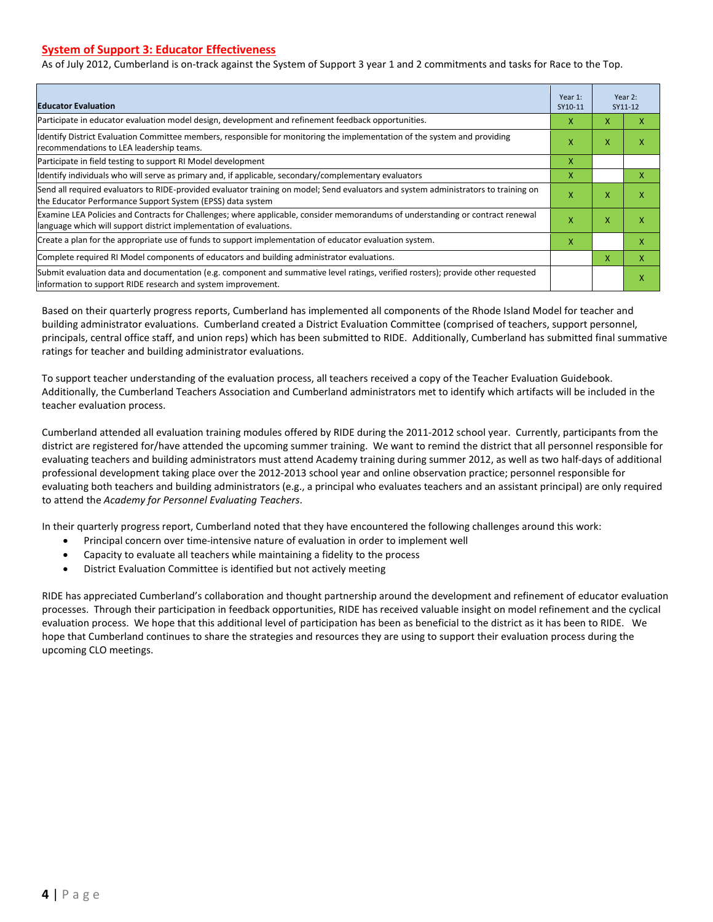#### **System of Support 3: Educator Effectiveness**

As of July 2012, Cumberland is on-track against the System of Support 3 year 1 and 2 commitments and tasks for Race to the Top.

| <b>Educator Evaluation</b>                                                                                                                                                                            | Year 1:<br>SY10-11 |   | Year 2:<br>SY11-12 |
|-------------------------------------------------------------------------------------------------------------------------------------------------------------------------------------------------------|--------------------|---|--------------------|
| Participate in educator evaluation model design, development and refinement feedback opportunities.                                                                                                   | x                  | X | x                  |
| Identify District Evaluation Committee members, responsible for monitoring the implementation of the system and providing<br>recommendations to LEA leadership teams.                                 | x                  | X | x                  |
| Participate in field testing to support RI Model development                                                                                                                                          | X                  |   |                    |
| Identify individuals who will serve as primary and, if applicable, secondary/complementary evaluators                                                                                                 | X                  |   | X                  |
| Send all required evaluators to RIDE-provided evaluator training on model; Send evaluators and system administrators to training on<br>the Educator Performance Support System (EPSS) data system     | X                  | X | X                  |
| Examine LEA Policies and Contracts for Challenges; where applicable, consider memorandums of understanding or contract renewal<br>language which will support district implementation of evaluations. | X                  | X | X                  |
| Create a plan for the appropriate use of funds to support implementation of educator evaluation system.                                                                                               | x                  |   | X                  |
| Complete required RI Model components of educators and building administrator evaluations.                                                                                                            |                    | X | X                  |
| Submit evaluation data and documentation (e.g. component and summative level ratings, verified rosters); provide other requested<br>linformation to support RIDE research and system improvement.     |                    |   | X                  |

Based on their quarterly progress reports, Cumberland has implemented all components of the Rhode Island Model for teacher and building administrator evaluations. Cumberland created a District Evaluation Committee (comprised of teachers, support personnel, principals, central office staff, and union reps) which has been submitted to RIDE. Additionally, Cumberland has submitted final summative ratings for teacher and building administrator evaluations.

To support teacher understanding of the evaluation process, all teachers received a copy of the Teacher Evaluation Guidebook. Additionally, the Cumberland Teachers Association and Cumberland administrators met to identify which artifacts will be included in the teacher evaluation process.

Cumberland attended all evaluation training modules offered by RIDE during the 2011-2012 school year. Currently, participants from the district are registered for/have attended the upcoming summer training. We want to remind the district that all personnel responsible for evaluating teachers and building administrators must attend Academy training during summer 2012, as well as two half-days of additional professional development taking place over the 2012-2013 school year and online observation practice; personnel responsible for evaluating both teachers and building administrators (e.g., a principal who evaluates teachers and an assistant principal) are only required to attend the *Academy for Personnel Evaluating Teachers*.

In their quarterly progress report, Cumberland noted that they have encountered the following challenges around this work:

- Principal concern over time-intensive nature of evaluation in order to implement well
- Capacity to evaluate all teachers while maintaining a fidelity to the process
- District Evaluation Committee is identified but not actively meeting

RIDE has appreciated Cumberland's collaboration and thought partnership around the development and refinement of educator evaluation processes. Through their participation in feedback opportunities, RIDE has received valuable insight on model refinement and the cyclical evaluation process. We hope that this additional level of participation has been as beneficial to the district as it has been to RIDE. We hope that Cumberland continues to share the strategies and resources they are using to support their evaluation process during the upcoming CLO meetings.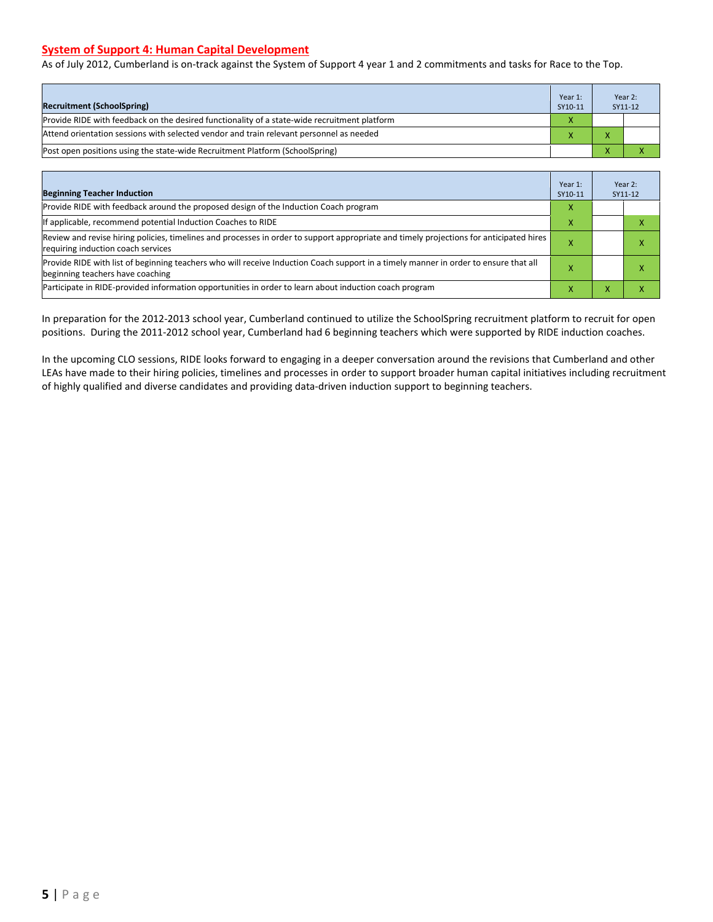#### **System of Support 4: Human Capital Development**

As of July 2012, Cumberland is on-track against the System of Support 4 year 1 and 2 commitments and tasks for Race to the Top.

| <b>Recruitment (SchoolSpring)</b>                                                            | Year 1:<br>SY10-11 | Year 2:<br>SY11-12 |
|----------------------------------------------------------------------------------------------|--------------------|--------------------|
| Provide RIDE with feedback on the desired functionality of a state-wide recruitment platform | X                  |                    |
| Attend orientation sessions with selected vendor and train relevant personnel as needed      |                    |                    |
| (Post open positions using the state-wide Recruitment Platform (SchoolSpring)                |                    |                    |

| <b>Beginning Teacher Induction</b>                                                                                                                                            | Year 1:<br>SY10-11 |          | Year 2:<br>SY11-12 |
|-------------------------------------------------------------------------------------------------------------------------------------------------------------------------------|--------------------|----------|--------------------|
| Provide RIDE with feedback around the proposed design of the Induction Coach program                                                                                          | X                  |          |                    |
| If applicable, recommend potential Induction Coaches to RIDE                                                                                                                  | x                  |          |                    |
| Review and revise hiring policies, timelines and processes in order to support appropriate and timely projections for anticipated hires<br>requiring induction coach services |                    |          |                    |
| Provide RIDE with list of beginning teachers who will receive Induction Coach support in a timely manner in order to ensure that all<br>beginning teachers have coaching      |                    |          |                    |
| Participate in RIDE-provided information opportunities in order to learn about induction coach program                                                                        |                    | $\bm{x}$ |                    |

In preparation for the 2012-2013 school year, Cumberland continued to utilize the SchoolSpring recruitment platform to recruit for open positions. During the 2011-2012 school year, Cumberland had 6 beginning teachers which were supported by RIDE induction coaches.

In the upcoming CLO sessions, RIDE looks forward to engaging in a deeper conversation around the revisions that Cumberland and other LEAs have made to their hiring policies, timelines and processes in order to support broader human capital initiatives including recruitment of highly qualified and diverse candidates and providing data-driven induction support to beginning teachers.